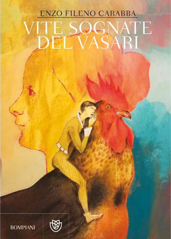# ENZO FILENO CARABBA **FE SOGNATE**<br>DEL VASARI **DEL**



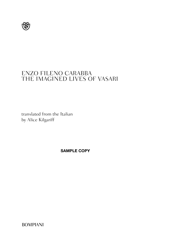

### ENZO FILENO CARABBA THE IMAGINED LIVES OF VASARI

translated from the Italian by Alice Kilgariff

**SAMPLE COPY**

BOMPIANI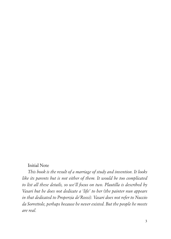#### Initial Note

*This book is the result of a marriage of study and invention. It looks like its parents but is not either of them. It would be too complicated to list all these details, so we'll focus on two. Plautilla is described by Vasari but he does not dedicate a 'life' to her (the painter nun appears in that dedicated to Properzia de'Rossi). Vasari does not refer to Nuccio da Sorrettole, perhaps because he never existed. But the people he meets are real.*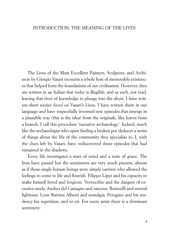#### INTRODUCTION. THE MEANING OF THE LIVES

The Lives of the Most Excellent Painters, Sculptors, and Architects by Giorgio Vasari recounts a whole host of memorable existences that helped form the foundations of our civilisation. However, they are written in an Italian that today is illegible, and as such, not read, leaving that river of knowledge to plunge into the abyss. I have written short stories *based on* Vasari's Lives. I have written them in our language and have respectfully invented new episodes that emerge in a plausible way (this is the idea) from the originals, like leaves from a branch. I call this procedure 'narrative archaeology'. Indeed, much like the archaeologist who upon finding a broken pot deduces a series of things about the life of the community they specialise in, I, with the clues left by Vasari, have rediscovered those episodes that had remained in the shadows.

Every life investigates a state of mind and a state of grace. The lives have passed but the sentiments are very much present, almost as if those single human beings were simply carriers who allowed the feelings to come to life and flourish. Filippo Lippi and his capacity to make himself loved and forgiven. Verrocchio and the dangers of excessive study. Andrea del Castagno and rancour. Botticelli and mental lightness. Leon Battista Alberti and nostalgia. Perugino and his tendency for repetition, and so on. For every artist there is a dominant sentiment.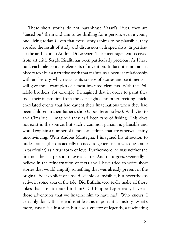These short stories do not paraphrase Vasari's Lives, they are "based on" them and aim to be thrilling for a person, even a young one, living today. Given that every story aspires to be plausible, they are also the result of study and discussion with specialists, in particular the art historian Andrea Di Lorenzo. The encouragement received from art critic Sergio Risaliti has been particularly precious. As I have said, each tale contains elements of invention. In fact, it is not an art history text but a narrative work that maintains a peculiar relationship with art history, which acts as its source of stories and sentiments. I will give three examples of almost invented elements. With the Pollaiolo brothers, for example, I imagined that in order to paint they took their inspiration from the cock fights and other exciting chicken-related events that had caught their imaginations when they had been children in their father's shop (a poulterer no less). With Giotto and Cimabue, I imagined they had been fans of fishing. This does not exist in the source, but such a common passion is plausible and would explain a number of famous anecdotes that are otherwise fairly unconvincing. With Andrea Mantegna, I imagined his attraction to nude statues (there is actually no need to generalise, it was one statue in particular) as a true form of love. Furthermore, he was neither the first nor the last person to love a statue. And on it goes. Generally, I believe in the reincarnation of texts and I have tried to write short stories that would amplify something that was already present in the original, be it explicit or unsaid, visible or invisible, but nevertheless active in some area of the tale. Did Buffalmacco really make all those jokes that are attributed to him? Did Filippo Lippi really have all those adventures that we imagine him to have had? Who knows. I certainly don't. But legend is at least as important as history. What's more, Vasari is a historian but also a creator of legends, a fascinating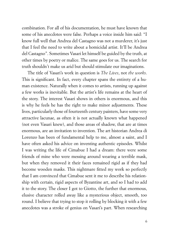combination. For all of his documentation, he must have known that some of his anecdotes were false. Perhaps a voice inside him said: "I know full well that Andrea del Castagno was not a murderer, it's just that I feel the need to write about a homicidal artist. It'll be Andrea del Castagno". Sometimes Vasari let himself be guided by the truth, at other times by poetry or malice. The same goes for us. The search for truth shouldn't make us arid but should stimulate our imaginations.

The title of Vasari's work in question is *The Lives*, not *the works*. This is significant. In fact, every chapter spans the entirety of a human existence. Naturally when it comes to artists, running up against a few works is inevitable. But the artist's life remains at the heart of the story. The interest Vasari shows in others is enormous, and this is why he feels he has the right to make minor adjustments. These lives, particularly those of fourteenth century painters, have some very attractive lacunae, as often it is not actually known what happened (not even Vasari knew), and those areas of shadow, that are at times enormous, are an invitation to invention. The art historian Andrea di Lorenzo has been of fundamental help to me, almost a saint, and I have often asked his advice on inventing authentic episodes. Whilst I was writing the life of Cimabue I had a dream: there were some friends of mine who were messing around wearing a terrible mask, but when they removed it their faces remained rigid as if they had become wooden masks. This nightmare fitted my work so perfectly that I am convinced that Cimabue sent it me to describe his relationship with certain, rigid aspects of Byzantine art, and so I had to add it to the story. The closer I got to Giotto, the further that enormous, elusive character rolled away like a mysterious object, smooth, too round. I believe that trying to stop it rolling by blocking it with a few anecdotes was a stroke of genius on Vasari's part. When researching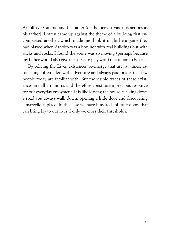Arnolfo di Cambio and his father (or the person Vasari describes as his father), I often came up against the theme of a building that encompassed another, which made me think it might be a game they had played when Arnolfo was a boy, not with real buildings but with sticks and rocks. I found the scene was so moving (perhaps because my father would also give me sticks to play with) that it had to be true.

By reliving the Lives existences re-emerge that are, at times, astonishing, often filled with adventure and always passionate, that few people today are familiar with. But the visible traces of these existences are all around us and therefore constitute a precious resource for our everyday enjoyment. It is like leaving the house, walking down a road you always walk down, opening a little door and discovering a marvellous place. In this case we have hundreds of little doors that can bring joy to our lives if only we cross their thresholds.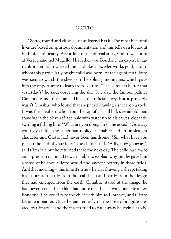#### GIOTTO

Giotto, round and elusive just as legend has it. The most beautiful lives are based on spurious documentation and this tells us a lot about both life and beauty. According to the official story, Giotto was born at Vespignano nel Mugello. His father was Bondone, an expert in agricultural art who worked the land like a jeweller works gold, and to whom this particularly bright child was born. At the age of ten Giotto was sent to watch the sheep on the solitary mountains, which gave him the opportunity to learn from Nature. "This sunset is better that yesterday's" he said, observing the sky. One day, the famous painter Cimabue came to the area. This is the official story. But it probably wasn't Cimabue who found that shepherd drawing a sheep on a rock. It was the shepherd who, from the top of a small hill, saw an old man standing in the Sieve at Sagginale with water up to his calves, elegantly swirling a fishing line. "What are you doing Sir?", he asked. "Go away you ugly child", the fisherman replied. Cimabue had an unpleasant character and Giotto had never been handsome. "Sir, what have you put on the end of your line?" the child asked. "A fly, now go away", said Cimabue but he returned there the next day. The child had made an impression on him. He wasn't able to explain why, but he gave him a sense of balance. Giotto would find ancient pottery in those fields. And that morning – this time it's true – he was drawing a sheep, taking his inspiration partly from the real sheep and partly from the design that had emerged from the earth. Cimabue stared at the image, he had never seen a sheep like that, more real than a living one. He asked Bondone if he could take the child with him to Florence, and Giotto became a painter. Once he painted a fly on the nose of a figure created by Cimabue, and the master tried to bat it away believing it to be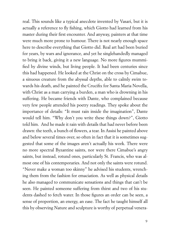real. This sounds like a typical anecdote invented by Vasari, but it is actually a reference to fly fishing, which Giotto had learned from his master during their first encounter. And anyway, painters at that time were much more prone to humour. There is not nearly enough space here to describe everything that Giotto did. Real art had been buried for years, by wars and ignorance, and yet he singlehandedly managed to bring it back, giving it a new language. No more figures mummified by divine winds, but living people. It had been centuries since this had happened. He looked at the Christ on the cross by Cimabue, a sinuous creature from the abyssal depths, able to calmly swim towards his death, and he painted the Crucifix for Santa Maria Novella, with Christ as a man carrying a burden, a man who is drowning in his suffering. He became friends with Dante, who complained because very few people attended his poetry readings. They spoke about the importance of details: "It must rain inside the imagination", Dante would tell him. "Why don't you write these things down?", Giotto told him. And he made it rain with details that had never before been drawn: the teeth, a bunch of flowers, a tear. In Assisi he painted above and below several times over, so often in fact that it is sometimes suggested that some of the images aren't actually his work. There were no more spectral Byzantine saints, nor were there Cimabue's angry saints, but instead, rotund ones, particularly St. Francis, who was almost one of his contemporaries. And not only the saints were rotund. "Never make a woman too skinny" he advised his students, wrenching them from the fashion for emaciation. As well as physical details he also managed to communicate sensations and things that can't be seen. He painted someone suffering from thirst and two of his students dashed to fetch water. In those figures an order can be seen, a sense of proportion, an energy, an ease. The fact he taught himself all this by observing Nature and sculpture is worthy of perpetual venera-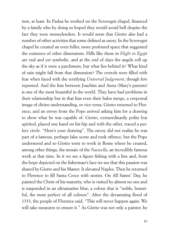tion, at least. In Padua he worked on the Scrovegni chapel, financed by a family who by doing so hoped they would avoid hell despite the fact they were moneylenders. It would seem that Giotto also had a number of other activities that some defined as usury. In the Scrovegni chapel he created an even fuller, more profound space that suggested the existence of other dimensions. Hills like those in *Flight to Egypt*  are real and yet symbolic, and at the end of days the angels roll up the sky as if it were a parchment, but what lies behind it? What kind of rain might fall from that dimension? The crowds were filled with fear when faced with the terrifying *Universal Judgement*, though few repented. And the kiss between Joachim and Anna (Mary's parents) is one of the most beautiful in the world. They have had problems in their relationship but in that kiss even their halos merge, a corporeal image of divine understanding, or vice versa. Giotto returned to Florence, and an envoy from the Pope arrived asking him for a drawing to show what he was capable of. Giotto, extraordinarily polite but spirited, placed one hand on his hip and with the other, traced a perfect circle. "Here's your drawing". The envoy did not realise he was part of a famous, perhaps false scene and took offence, but the Pope understood and so Giotto went to work in Rome where he created, among other things, the mosaic of the *Navicella*, an incredibly famous work at that time. In it we see a figure fishing with a line and, from the hope depicted on the fisherman's face we see that this passion was shared by Giotto and his Master. It elevated Naples. Then he returned to Florence to fill Santa Croce with stories. On All Saints' Day, he painted the Christ of his maturity, who is visited by almost no one and is suspended in an ultramarine blue, a colour that is "noble, beautiful, the most perfect of all colours". After the devastating flood of 1333, the people of Florence said, "This will never happen again. We will take measures to ensure it." As Giotto was not only a painter, he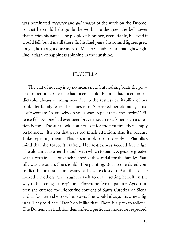was nominated *magister* and *gubernator* of the work on the Duomo, so that he could help guide the work. He designed the bell tower that carries his name. The people of Florence, ever affable, believed it would fall, but it is still there. In his final years, his rotund figures grew longer, he thought once more of Master Cimabue and that lightweight line, a flash of happiness spinning in the sunshine.

#### PLAUTILLA

The cult of novelty is by no means new, but nothing beats the power of repetition. Since she had been a child, Plautilla had been unpredictable, always seeming new due to the restless excitability of her soul. Her family feared her questions. She asked her old aunt, a majestic woman: "Aunt, why do you always repeat the same stories?" Silence fell. No one had ever been brave enough to ask her such a question before. The aunt looked at her as if for the first time then simply responded, "It's you that pays too much attention. And it's because I like repeating them". This lesson took root so deeply in Plautilla's mind that she forgot it entirely. Her restlessness needed free reign. The old aunt gave her the tools with which to paint. A gesture greeted with a certain level of shock veined with scandal for the family: Plautilla was a woman. She shouldn't be painting. But no one dared contradict that majestic aunt. Many paths were closed to Plautilla, so she looked for others. She taught herself to draw, setting herself on the way to becoming history's first Florentine female painter. Aged thirteen she entered the Florentine convent of Santa Caterina da Siena, and at fourteen she took her vows. She would always draw new figures. They told her: "Don't do it like that. There is a path to follow". The Domenican tradition demanded a particular model be respected.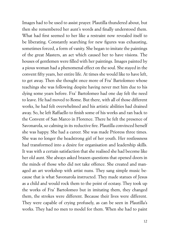Images had to be used to assist prayer. Plautilla thundered about, but then she remembered her aunt's words and finally understood them. What had first seemed to her like a restraint now revealed itself to be liberating. Constantly searching for new figures was exhausting, sometimes forced, a form of vanity. She began to imitate the paintings of the great Masters, an act which caused her to have visions. The houses of gentlemen were filled with her paintings. Images painted by a pious woman had a phenomenal effect on the soul. She stayed in the convent fifty years, her entire life. At times she would like to have left, to get away. Then she thought once more of Fra' Bartolomeo whose teachings she was following despite having never met him due to his dying some years before. Fra' Bartolomeo had one day felt the need to leave. He had moved to Rome. But there, with all of those different works, he had felt overwhelmed and his artistic abilities had drained away. So, he left Raffaello to finish some of his works and ran back to the Convent of San Marco in Florence. There he felt the presence of Savonarola, so calming in its reductive fire. Plautilla convinced herself she was happy. She had a career. She was made Prioress three times. She was no longer the headstrong girl of her youth. Her restlessness had transformed into a desire for organisation and leadership skills. It was with a certain satisfaction that she realised she had become like her old aunt. She always asked brazen questions that opened doors in the minds of those who did not take offence. She created and managed an art workshop with artist nuns. They sang simple music because that is what Savonarola instructed. They made statues of Jesus as a child and would rock them to the point of ecstasy. They took up the works of Fra' Bartolomeo but in imitating them, they changed them, the strokes were different. Because their lives were different. They were capable of crying profusely, as can be seen in Plautilla's works. They had no men to model for them. When she had to paint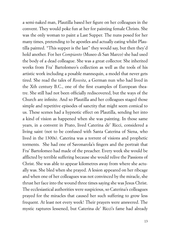a semi-naked man, Plautilla based her figure on her colleagues in the convent. They would poke fun at her for painting female Christs. She was the only woman to paint a Last Supper. The nuns posed for her many times, pretending to be apostles and actually eating whilst Plautilla painted. "This supper is the last" they would say, but then they'd hold another. For her *Compianto* (Museo di San Marco) she had used the body of a dead colleague. She was a great collector. She inherited works from Fra' Bartolomeo's collection as well as the tools of his artistic work including a posable mannequin, a model that never gets tired. She read the tales of *Rosvita*, a German nun who had lived in the Xth century B.C., one of the first examples of European theatre. She still had not been officially rediscovered, but the ways of the Church are infinite. And so Plautilla and her colleagues staged those simple and repetitive episodes of sanctity that might seem comical to us. These scenes had a hypnotic effect on Plautilla, sending her into a kind of vision as happened when she was painting. In those same years, in a convent in Prato, lived Caterina de' Ricci, considered a living saint (not to be confused with Santa Caterina of Siena, who lived in the 1300s). Caterina was a torrent of visions and prophetic torments. She had one of Savonarola's fingers and the portrait that Fra' Bartolomeo had made of the preacher. Every week she would be afflicted by terrible suffering because she would relive the Passions of Christ. She was able to appear kilometres away from where she actually was. She bled when she prayed. A lesion appeared on her ribcage and when one of her colleagues was not convinced by the miracle, she thrust her face into the wound three times saying she was Jesus Christ. The ecclesiastical authorities were suspicious, so Caterina's colleagues prayed for the miracles that caused her such suffering to grow less frequent. At least not every week! Their prayers were answered. The mystic raptures lessened, but Caterina de' Ricci's fame had already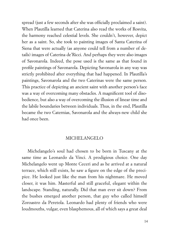spread (just a few seconds after she was officially proclaimed a saint). When Plautilla learned that Caterina also read the works of Rosvita, the harmony reached celestial levels. She couldn't, however, depict her as a saint. So, she took to painting images of Santa Caterina of Siena that were actually (as anyone could tell from a number of details) images of Caterina de'Ricci. And perhaps they were also images of Savonarola. Indeed, the pose used is the same as that found in profile paintings of Savonarola. Depicting Savonarola in any way was strictly prohibited after everything that had happened. In Plautilla's paintings, Savonarola and the two Caterinas were the same person. This practice of depicting an ancient saint with another person's face was a way of overcoming many obstacles. A magnificent tool of disobedience, but also a way of overcoming the illusion of linear time and the labile boundaries between individuals. Thus, in the end, Plautilla became the two Caternias, Savonarola and the always-new child she had once been.

#### MICHELANGELO

Michelangelo's soul had chosen to be born in Tuscany at the same time as Leonardo da Vinci. A prodigious choice. One day Michelangelo went up Monte Ceceri and as he arrived at a natural terrace, which still exists, he saw a figure on the edge of the precipice. He looked just like the man from his nightmare. He moved closer, it was him. Masterful and still graceful, elegant within the landscape. Standing, naturally. Did that man ever sit down? From the bushes emerged another person, that guy who called himself Zoroastro da Peretola. Leonardo had plenty of friends who were loudmouths, vulgar, even blasphemous, all of which says a great deal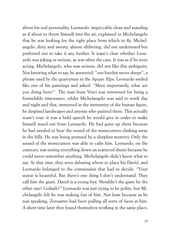about his real personality. Leonardo, impeccably clean and standing as if about to throw himself into the air, explained to Michelangelo that he was looking for the right place from which to fly. Michelangelo, dirty and sweaty, almost slithering, did not understand but preferred not to take it any further. It wasn't clear whether Leonardo was joking or serious, as was often the case. It was as if he were acting. Michelangelo, who was serious, did not like this ambiguity. Not knowing what to say, he answered: "our burden never sleeps", a phrase used by the quarrymen in the Apuan Alps. Leonardo smiled like one of his paintings and asked: "More importantly, what are you doing here?". The man from Vinci was renowned for being a formidable timewaster, whilst Michelangelo was said to work day and night and that, immersed in the immensity of the human figure, he despised landscapes and anyone who painted them. This actually wasn't true: it was a bold speech he would give in order to make himself stand out from Leonardo. He had gone up there because he had needed to hear the sound of the stonecutters clinking away in the hills. He was being pursued by a sleepless memory. Only the sound of the stonecutters was able to calm him. Leonardo, on the contrary, was noting everything down on scattered sheets because he could never remember anything. Michelangelo didn't know what to say. At that time, they were debating where to place his David, and Leonardo belonged to the commission that had to decide. "Your statue is beautiful. But there's one thing I don't understand. They call him the giant. David is a young boy. Shouldn't the giant be the other one? Goliath?" Leonardo was just trying to be polite, but Michelangelo felt he was making fun of him. Not least because as he was speaking, Zoroastro had been pulling all sorts of faces at him. A short time later they found themselves working in the same place,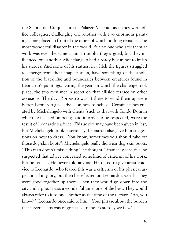the Salone dei Cinquecento in Palazzo Vecchio, as if they were office colleagues, challenging one another with two enormous paintings, one placed in front of the other, of which nothing remains. The most wonderful disaster in the world. But no one who saw them at work was ever the same again. In public they argued, but they influenced one another. Michelangelo had already begun not to finish his statues. And some of his statues, in which the figures struggled to emerge from their shapelessness, have something of the abolition of the black line and boundaries between creatures found in Leonardo's paintings. During the years in which the challenge took place, the two men met in secret on that hillside terrace on other occasions. The days Zoroastro wasn't there to wind them up were better. Leonardo gave advice on how to behave. Certain scenes created by Michelangelo with clients (such as that with Tondo Doni in which he insisted on being paid in order to be respected) were the result of Leonardo's advice. This advice may have been given in jest, but Michelangelo took it seriously. Leonardo also gave him suggestions on how to dress. "You know, sometimes you should take off those dog-skin boots". Michelangelo really did wear dog-skin boots. "This man doesn't miss a thing", he thought. Titanically sensitive, he suspected that advice concealed some kind of criticism of his work, but he took it. He never told anyone. He dared to give artistic advice to Leonardo, who feared this was a criticism of his physical aspect in all its glory, but then he reflected on Leonardo's words. They were good together up there. Then they would go down into the city and argue. It was a wonderful time, one of the best. They would always refer to it to one another as the time of the terrace. "Ah, you know?", Leonardo once said to him, "Your phrase about the burden that never sleeps was of great use to me. Yesterday we flew".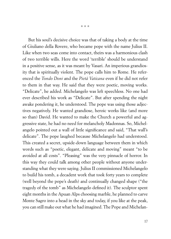But his soul's decisive choice was that of taking a body at the time of Giuliano della Rovere, who became pope with the name Julius II. Like when two seas come into contact, theirs was a harmonious clash of two terrible wills. Here the word 'terrible' should be understand in a positive sense, as it was meant by Vasari. An imperious grandiosity that is spiritually violent. The pope calls him to Rome. He referenced the *Tondo Doni* and the *Pietà Vaticana* even if he did not refer to them in that way. He said that they were poetic, moving works. "Delicate", he added. Michelangelo was left speechless. No one had ever described his work as "Delicate". But after spending the night awake pondering it, he understood. The pope was using those adjectives negatively. He wanted grandiose, heroic works like (and more so than) David. He wanted to make the Church a powerful and aggressive state, he had no need for melancholy Madonnas. So, Michelangelo pointed out a wall of little significance and said, "That wall's delicate". The pope laughed because Michelangelo had understood. This created a secret, upside-down language between them in which words such as "poetic, elegant, delicate and moving" meant "to be avoided at all costs". "Pleasing" was the very pinnacle of horror. In this way they could talk among other people without anyone understanding what they were saying. Julius II commissioned Michelangelo to build his tomb, a decadent work that took forty years to complete (well beyond the pope's death) and continually changed shape ("the tragedy of the tomb" as Michelangelo defined it). The sculptor spent eight months in the Apuan Alps choosing marble, he planned to carve Monte Sagro into a head in the sky and today, if you like at the peak, you can still make out what he had imagined. The Pope and Michelan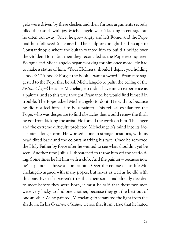gelo were driven by these clashes and their furious arguments secretly filled their souls with joy. Michelangelo wasn't lacking in courage but he often ran away. Once, he grew angry and left Rome, and the Pope had him followed (or chased). The sculptor thought he'd escape to Constantinople where the Sultan wanted him to build a bridge over the Golden Horn, but then they reconciled as the Pope reconquered Bologna and Michelangelo began working for him once more. He had to make a statue of him. "Your Holiness, should I depict you holding a book?" "A book? Forget the book. I want a sword". Bramante suggested to the Pope that he ask Michelangelo to paint the ceiling of the *Sistine Chapel* because Michelangelo didn't have much experience as a painter, and so this way, thought Bramante, he would find himself in trouble. The Pope asked Michelangelo to do it. He said no, because he did not feel himself to be a painter. This refusal exhilarated the Pope, who was desperate to find obstacles that would renew the thrill he got from kicking the artist. He forced the work on him. The anger and the extreme difficulty projected Michelangelo's mind into its ideal state: a long storm. He worked alone in strange positions, with his head tilted back and the colours marking his face. Once he removed the Holy Father by force after he wanted to see what shouldn't yet be seen. Another time Julius II threatened to throw him off the scaffolding. Sometimes he hit him with a club. And the painter – because now he's a painter - threw a stool at him. Over the course of his life Michelangelo argued with many popes, but never as well as he did with this one. Even if it weren't true that their souls had already decided to meet before they were born, it must be said that these two men were very lucky to find one another, because they got the best out of one another. As he painted, Michelangelo separated the light from the shadows. In his *Creation of Adam* we see that it isn't true that he hated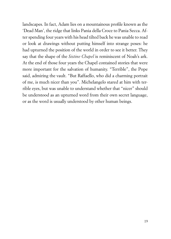landscapes. In fact, Adam lies on a mountainous profile known as the 'Dead Man', the ridge that links Pania della Croce to Pania Secca. After spending four years with his head tilted back he was unable to read or look at drawings without putting himself into strange poses: he had upturned the position of the world in order to see it better. They say that the shape of the *Sistine Chapel* is reminiscent of Noah's ark. At the end of those four years the Chapel contained stories that were more important for the salvation of humanity. "Terrible", the Pope said, admiring the vault. "But Raffaello, who did a charming portrait of me, is much nicer than you". Michelangelo stared at him with terrible eyes, but was unable to understand whether that "nicer" should be understood as an upturned word from their own secret language, or as the word is usually understood by other human beings.